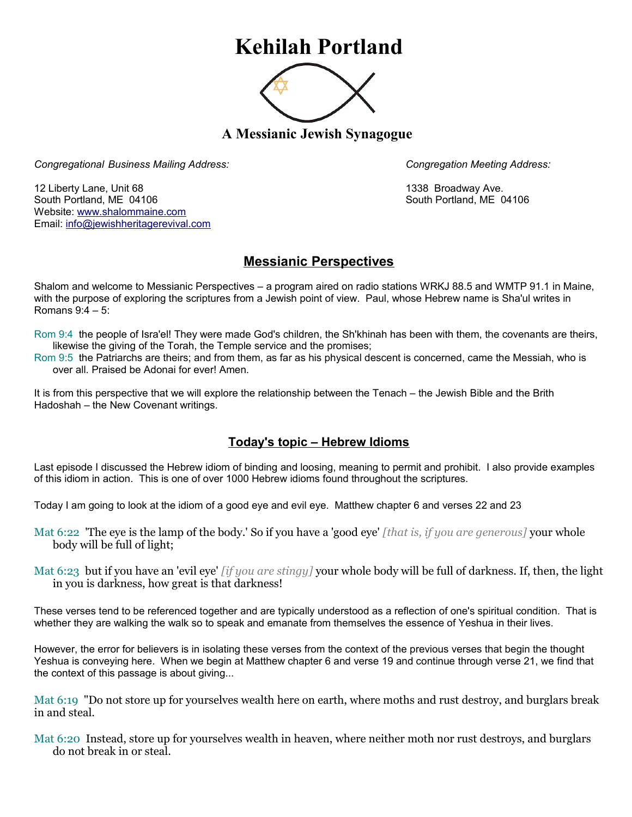## **Kehilah Portland**



**A Messianic Jewish Synagogue** 

*Congregational Business Mailing Address: Congregation Meeting Address:*

12 Liberty Lane, Unit 68 1338 Broadway Ave. South Portland, ME 04106 South Portland, ME 04106 Website: [www.shalommaine.com](http://www.shalommaine.com/) Email: [info@jewishheritagerevival.com](mailto:info@jewishheritagerevival.com) 

## **Messianic Perspectives**

Shalom and welcome to Messianic Perspectives – a program aired on radio stations WRKJ 88.5 and WMTP 91.1 in Maine, with the purpose of exploring the scriptures from a Jewish point of view. Paul, whose Hebrew name is Sha'ul writes in Romans 9:4 – 5:

- Rom 9:4 the people of Isra'el! They were made God's children, the Sh'khinah has been with them, the covenants are theirs, likewise the giving of the Torah, the Temple service and the promises;
- Rom 9:5 the Patriarchs are theirs; and from them, as far as his physical descent is concerned, came the Messiah, who is over all. Praised be Adonai for ever! Amen.

It is from this perspective that we will explore the relationship between the Tenach – the Jewish Bible and the Brith Hadoshah – the New Covenant writings.

## **Today's topic – Hebrew Idioms**

Last episode I discussed the Hebrew idiom of binding and loosing, meaning to permit and prohibit. I also provide examples of this idiom in action. This is one of over 1000 Hebrew idioms found throughout the scriptures.

Today I am going to look at the idiom of a good eye and evil eye. Matthew chapter 6 and verses 22 and 23

- Mat 6:22 'The eye is the lamp of the body.' So if you have a 'good eye' *[that is, if you are generous]* your whole body will be full of light;
- Mat 6:23 but if you have an 'evil eye' *[if you are stingy]* your whole body will be full of darkness. If, then, the light in you is darkness, how great is that darkness!

These verses tend to be referenced together and are typically understood as a reflection of one's spiritual condition. That is whether they are walking the walk so to speak and emanate from themselves the essence of Yeshua in their lives.

However, the error for believers is in isolating these verses from the context of the previous verses that begin the thought Yeshua is conveying here. When we begin at Matthew chapter 6 and verse 19 and continue through verse 21, we find that the context of this passage is about giving...

Mat 6:19 "Do not store up for yourselves wealth here on earth, where moths and rust destroy, and burglars break in and steal.

Mat 6:20 Instead, store up for yourselves wealth in heaven, where neither moth nor rust destroys, and burglars do not break in or steal.